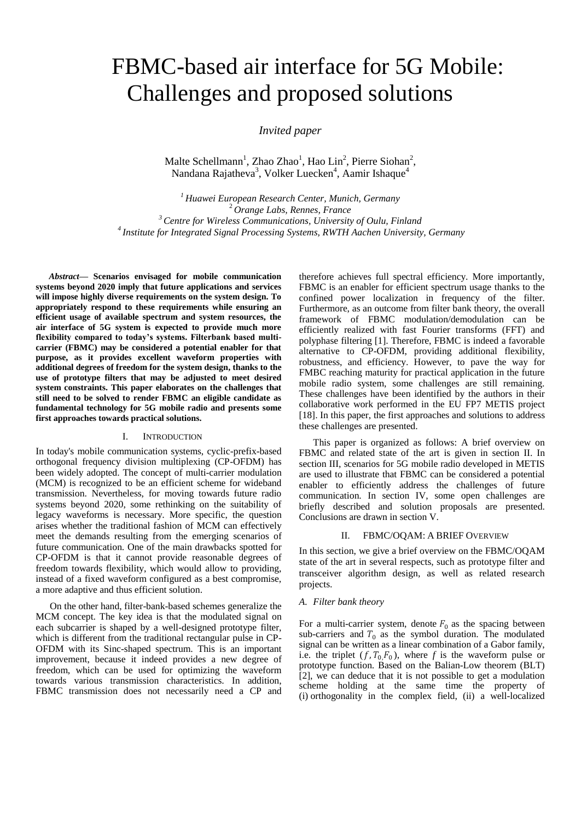# FBMC-based air interface for 5G Mobile: Challenges and proposed solutions

# *Invited paper*

Malte Schellmann<sup>1</sup>, Zhao Zhao<sup>1</sup>, Hao Lin<sup>2</sup>, Pierre Siohan<sup>2</sup>, Nandana Rajatheva<sup>3</sup>, Volker Luecken<sup>4</sup>, Aamir Ishaque<sup>4</sup>

 *Huawei European Research Center, Munich, Germany Orange Labs, Rennes, France Centre for Wireless Communications, University of Oulu, Finland Institute for Integrated Signal Processing Systems, RWTH Aachen University, Germany*

*Abstract***— Scenarios envisaged for mobile communication systems beyond 2020 imply that future applications and services will impose highly diverse requirements on the system design. To appropriately respond to these requirements while ensuring an efficient usage of available spectrum and system resources, the air interface of 5G system is expected to provide much more flexibility compared to today's systems. Filterbank based multicarrier (FBMC) may be considered a potential enabler for that purpose, as it provides excellent waveform properties with additional degrees of freedom for the system design, thanks to the use of prototype filters that may be adjusted to meet desired system constraints. This paper elaborates on the challenges that still need to be solved to render FBMC an eligible candidate as fundamental technology for 5G mobile radio and presents some first approaches towards practical solutions.** 

## I. INTRODUCTION

In today's mobile communication systems, cyclic-prefix-based orthogonal frequency division multiplexing (CP-OFDM) has been widely adopted. The concept of multi-carrier modulation (MCM) is recognized to be an efficient scheme for wideband transmission. Nevertheless, for moving towards future radio systems beyond 2020, some rethinking on the suitability of legacy waveforms is necessary. More specific, the question arises whether the traditional fashion of MCM can effectively meet the demands resulting from the emerging scenarios of future communication. One of the main drawbacks spotted for CP-OFDM is that it cannot provide reasonable degrees of freedom towards flexibility, which would allow to providing, instead of a fixed waveform configured as a best compromise, a more adaptive and thus efficient solution.

On the other hand, filter-bank-based schemes generalize the MCM concept. The key idea is that the modulated signal on each subcarrier is shaped by a well-designed prototype filter, which is different from the traditional rectangular pulse in CP-OFDM with its Sinc-shaped spectrum. This is an important improvement, because it indeed provides a new degree of freedom, which can be used for optimizing the waveform towards various transmission characteristics. In addition, FBMC transmission does not necessarily need a CP and

therefore achieves full spectral efficiency. More importantly, FBMC is an enabler for efficient spectrum usage thanks to the confined power localization in frequency of the filter. Furthermore, as an outcome from filter bank theory, the overall framework of FBMC modulation/demodulation can be efficiently realized with fast Fourier transforms (FFT) and polyphase filtering [1]. Therefore, FBMC is indeed a favorable alternative to CP-OFDM, providing additional flexibility, robustness, and efficiency. However, to pave the way for FMBC reaching maturity for practical application in the future mobile radio system, some challenges are still remaining. These challenges have been identified by the authors in their collaborative work performed in the EU FP7 METIS project [18]. In this paper, the first approaches and solutions to address these challenges are presented.

This paper is organized as follows: A brief overview on FBMC and related state of the art is given in section II. In section III, scenarios for 5G mobile radio developed in METIS are used to illustrate that FBMC can be considered a potential enabler to efficiently address the challenges of future communication. In section IV, some open challenges are briefly described and solution proposals are presented. Conclusions are drawn in section V.

#### II. FBMC/OQAM: A BRIEF OVERVIEW

In this section, we give a brief overview on the FBMC/OQAM state of the art in several respects, such as prototype filter and transceiver algorithm design, as well as related research projects.

# *A. Filter bank theory*

For a multi-carrier system, denote  $F_0$  as the spacing between sub-carriers and  $T_0$  as the symbol duration. The modulated signal can be written as a linear combination of a Gabor family, i.e. the triplet  $(f, T_0, F_0)$ , where f is the waveform pulse or prototype function. Based on the Balian-Low theorem (BLT) [2], we can deduce that it is not possible to get a modulation scheme holding at the same time the property of (i) orthogonality in the complex field, (ii) a well-localized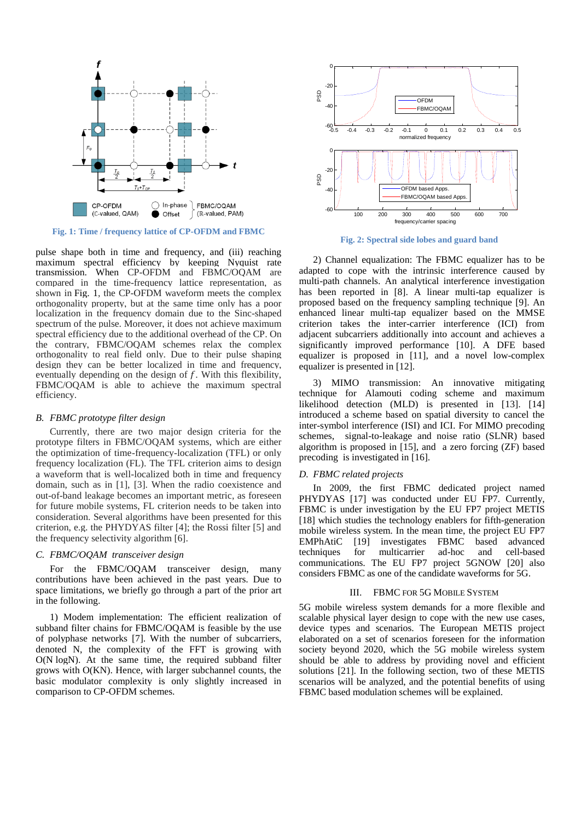

<span id="page-1-0"></span>**Fig. 1: Time / frequency lattice of CP-OFDM and FBMC**

pulse shape both in time and frequency, and (iii) reaching maximum spectral efficiency by keeping Nyquist rate transmission. When CP-OFDM and FBMC/OQAM are compared in the time-frequency lattice representation, as shown in [Fig. 1,](#page-1-0) the CP-OFDM waveform meets the complex orthogonality property, but at the same time only has a poor localization in the frequency domain due to the Sinc-shaped spectrum of the pulse. Moreover, it does not achieve maximum spectral efficiency due to the additional overhead of the CP. On the contrary, FBMC/OQAM schemes relax the complex orthogonality to real field only. Due to their pulse shaping design they can be better localized in time and frequency, eventually depending on the design of  $f$ . With this flexibility, FBMC/OQAM is able to achieve the maximum spectral efficiency.

#### *B. FBMC prototype filter design*

Currently, there are two major design criteria for the prototype filters in FBMC/OQAM systems, which are either the optimization of time-frequency-localization (TFL) or only frequency localization (FL). The TFL criterion aims to design a waveform that is well-localized both in time and frequency domain, such as in [1], [3]. When the radio coexistence and out-of-band leakage becomes an important metric, as foreseen for future mobile systems, FL criterion needs to be taken into consideration. Several algorithms have been presented for this criterion, e.g. the PHYDYAS filter [4]; the Rossi filter [5] and the frequency selectivity algorithm [6].

#### *C. FBMC/OQAM transceiver design*

For the FBMC/OQAM transceiver design, many contributions have been achieved in the past years. Due to space limitations, we briefly go through a part of the prior art in the following.

1) Modem implementation: The efficient realization of subband filter chains for FBMC/OQAM is feasible by the use of polyphase networks [7]. With the number of subcarriers, denoted N, the complexity of the FFT is growing with O(N logN). At the same time, the required subband filter grows with O(KN). Hence, with larger subchannel counts, the basic modulator complexity is only slightly increased in comparison to CP-OFDM schemes.



**Fig. 2: Spectral side lobes and guard band**

2) Channel equalization: The FBMC equalizer has to be adapted to cope with the intrinsic interference caused by multi-path channels. An analytical interference investigation has been reported in [8]. A linear multi-tap equalizer is proposed based on the frequency sampling technique [9]. An enhanced linear multi-tap equalizer based on the MMSE criterion takes the inter-carrier interference (ICI) from adjacent subcarriers additionally into account and achieves a significantly improved performance [10]. A DFE based equalizer is proposed in [11], and a novel low-complex equalizer is presented in [12].

3) MIMO transmission: An innovative mitigating technique for Alamouti coding scheme and maximum likelihood detection (MLD) is presented in [13]. [14] introduced a scheme based on spatial diversity to cancel the inter-symbol interference (ISI) and ICI. For MIMO precoding schemes, signal-to-leakage and noise ratio (SLNR) based algorithm is proposed in [15], and a zero forcing (ZF) based precoding is investigated in [16].

#### *D. FBMC related projects*

In 2009, the first FBMC dedicated project named PHYDYAS [17] was conducted under EU FP7. Currently, FBMC is under investigation by the EU FP7 project METIS [18] which studies the technology enablers for fifth-generation mobile wireless system. In the mean time, the project EU FP7 EMPhAtiC [19] investigates FBMC based advanced techniques for multicarrier ad-hoc and cell-based communications. The EU FP7 project 5GNOW [20] also considers FBMC as one of the candidate waveforms for 5G.

#### III. FBMC FOR 5G MOBILE SYSTEM

5G mobile wireless system demands for a more flexible and scalable physical layer design to cope with the new use cases, device types and scenarios. The European METIS project elaborated on a set of scenarios foreseen for the information society beyond 2020, which the 5G mobile wireless system should be able to address by providing novel and efficient solutions [21]. In the following section, two of these METIS scenarios will be analyzed, and the potential benefits of using FBMC based modulation schemes will be explained.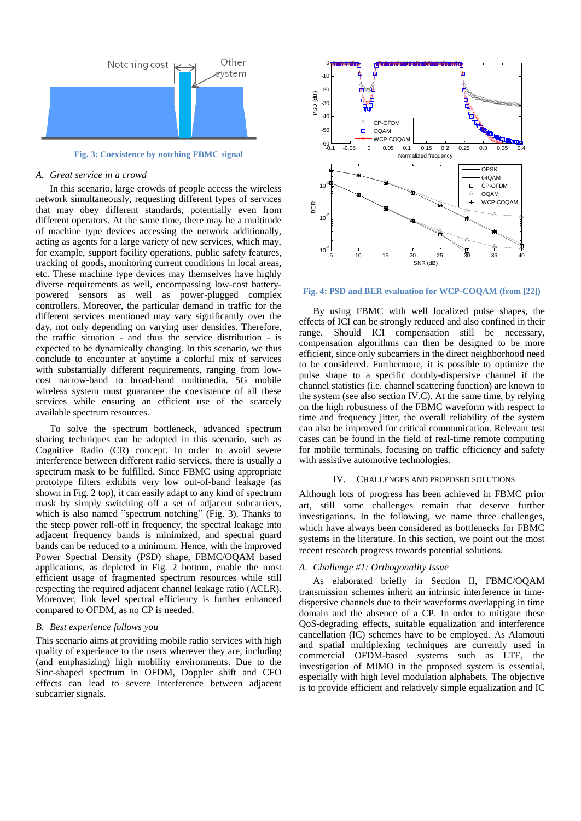

**Fig. 3: Coexistence by notching FBMC signal**

#### *A. Great service in a crowd*

In this scenario, large crowds of people access the wireless network simultaneously, requesting different types of services that may obey different standards, potentially even from different operators. At the same time, there may be a multitude of machine type devices accessing the network additionally, acting as agents for a large variety of new services, which may, for example, support facility operations, public safety features, tracking of goods, monitoring current conditions in local areas, etc. These machine type devices may themselves have highly diverse requirements as well, encompassing low-cost batterypowered sensors as well as power-plugged complex controllers. Moreover, the particular demand in traffic for the different services mentioned may vary significantly over the day, not only depending on varying user densities. Therefore, the traffic situation - and thus the service distribution - is expected to be dynamically changing. In this scenario, we thus conclude to encounter at anytime a colorful mix of services with substantially different requirements, ranging from lowcost narrow-band to broad-band multimedia. 5G mobile wireless system must guarantee the coexistence of all these services while ensuring an efficient use of the scarcely available spectrum resources.

To solve the spectrum bottleneck, advanced spectrum sharing techniques can be adopted in this scenario, such as Cognitive Radio (CR) concept. In order to avoid severe interference between different radio services, there is usually a spectrum mask to be fulfilled. Since FBMC using appropriate prototype filters exhibits very low out-of-band leakage (as shown in Fig. 2 top), it can easily adapt to any kind of spectrum mask by simply switching off a set of adjacent subcarriers, which is also named "spectrum notching" (Fig. 3). Thanks to the steep power roll-off in frequency, the spectral leakage into adjacent frequency bands is minimized, and spectral guard bands can be reduced to a minimum. Hence, with the improved Power Spectral Density (PSD) shape, FBMC/OQAM based applications, as depicted in Fig. 2 bottom, enable the most efficient usage of fragmented spectrum resources while still respecting the required adjacent channel leakage ratio (ACLR). Moreover, link level spectral efficiency is further enhanced compared to OFDM, as no CP is needed.

# *B. Best experience follows you*

This scenario aims at providing mobile radio services with high quality of experience to the users wherever they are, including (and emphasizing) high mobility environments. Due to the Sinc-shaped spectrum in OFDM, Doppler shift and CFO effects can lead to severe interference between adjacent subcarrier signals.



**Fig. 4: PSD and BER evaluation for WCP-COQAM (from [22])**

By using FBMC with well localized pulse shapes, the effects of ICI can be strongly reduced and also confined in their range. Should ICI compensation still be necessary, compensation algorithms can then be designed to be more efficient, since only subcarriers in the direct neighborhood need to be considered. Furthermore, it is possible to optimize the pulse shape to a specific doubly-dispersive channel if the channel statistics (i.e. channel scattering function) are known to the system (see also section IV.C). At the same time, by relying on the high robustness of the FBMC waveform with respect to time and frequency jitter, the overall reliability of the system can also be improved for critical communication. Relevant test cases can be found in the field of real-time remote computing for mobile terminals, focusing on traffic efficiency and safety with assistive automotive technologies.

#### IV. CHALLENGES AND PROPOSED SOLUTIONS

Although lots of progress has been achieved in FBMC prior art, still some challenges remain that deserve further investigations. In the following, we name three challenges, which have always been considered as bottlenecks for FBMC systems in the literature. In this section, we point out the most recent research progress towards potential solutions.

#### *A. Challenge #1: Orthogonality Issue*

As elaborated briefly in Section II, FBMC/OQAM transmission schemes inherit an intrinsic interference in timedispersive channels due to their waveforms overlapping in time domain and the absence of a CP. In order to mitigate these QoS-degrading effects, suitable equalization and interference cancellation (IC) schemes have to be employed. As Alamouti and spatial multiplexing techniques are currently used in commercial OFDM-based systems such as LTE, the investigation of MIMO in the proposed system is essential, especially with high level modulation alphabets. The objective is to provide efficient and relatively simple equalization and IC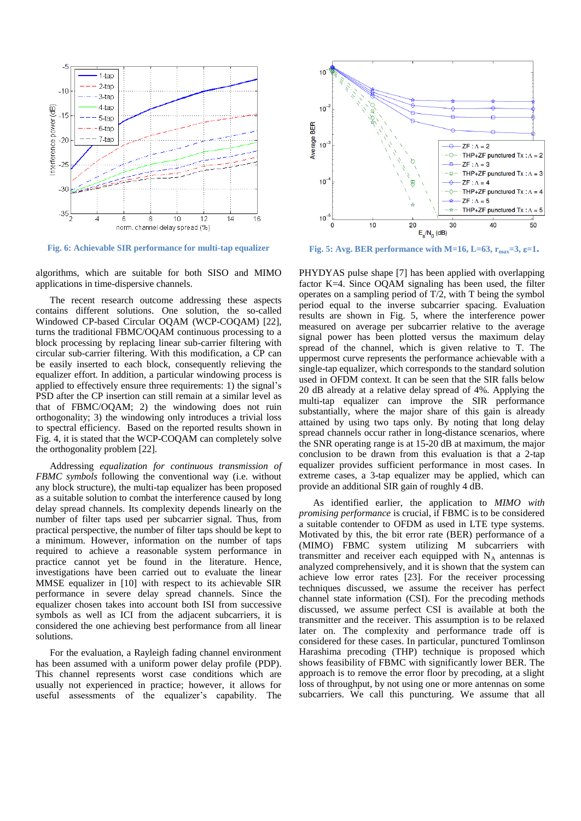

**Fig. 6: Achievable SIR performance for multi-tap equalizer Fig. 5: Avg. BER performance with M=16, L=63, rmax=3, =1.**

algorithms, which are suitable for both SISO and MIMO applications in time-dispersive channels.

The recent research outcome addressing these aspects contains different solutions. One solution, the so-called Windowed CP-based Circular OQAM (WCP-COQAM) [22], turns the traditional FBMC/OQAM continuous processing to a block processing by replacing linear sub-carrier filtering with circular sub-carrier filtering. With this modification, a CP can be easily inserted to each block, consequently relieving the equalizer effort. In addition, a particular windowing process is applied to effectively ensure three requirements: 1) the signal"s PSD after the CP insertion can still remain at a similar level as that of FBMC/OQAM; 2) the windowing does not ruin orthogonality; 3) the windowing only introduces a trivial loss to spectral efficiency. Based on the reported results shown in Fig. 4, it is stated that the WCP-COQAM can completely solve the orthogonality problem [22].

Addressing *equalization for continuous transmission of FBMC symbols* following the conventional way (i.e. without any block structure), the multi-tap equalizer has been proposed as a suitable solution to combat the interference caused by long delay spread channels. Its complexity depends linearly on the number of filter taps used per subcarrier signal. Thus, from practical perspective, the number of filter taps should be kept to a minimum. However, information on the number of taps required to achieve a reasonable system performance in practice cannot yet be found in the literature. Hence, investigations have been carried out to evaluate the linear MMSE equalizer in [10] with respect to its achievable SIR performance in severe delay spread channels. Since the equalizer chosen takes into account both ISI from successive symbols as well as ICI from the adjacent subcarriers, it is considered the one achieving best performance from all linear solutions.

For the evaluation, a Rayleigh fading channel environment has been assumed with a uniform power delay profile (PDP). This channel represents worst case conditions which are usually not experienced in practice; however, it allows for useful assessments of the equalizer's capability. The



PHYDYAS pulse shape [7] has been applied with overlapping factor K=4. Since OQAM signaling has been used, the filter operates on a sampling period of T/2, with T being the symbol period equal to the inverse subcarrier spacing. Evaluation results are shown in Fig. 5, where the interference power measured on average per subcarrier relative to the average signal power has been plotted versus the maximum delay spread of the channel, which is given relative to T. The uppermost curve represents the performance achievable with a single-tap equalizer, which corresponds to the standard solution used in OFDM context. It can be seen that the SIR falls below 20 dB already at a relative delay spread of 4%. Applying the multi-tap equalizer can improve the SIR performance substantially, where the major share of this gain is already attained by using two taps only. By noting that long delay spread channels occur rather in long-distance scenarios, where the SNR operating range is at 15-20 dB at maximum, the major conclusion to be drawn from this evaluation is that a 2-tap equalizer provides sufficient performance in most cases. In extreme cases, a 3-tap equalizer may be applied, which can provide an additional SIR gain of roughly 4 dB.

As identified earlier, the application to *MIMO with promising performance* is crucial, if FBMC is to be considered a suitable contender to OFDM as used in LTE type systems. Motivated by this, the bit error rate (BER) performance of a (MIMO) FBMC system utilizing M subcarriers with transmitter and receiver each equipped with  $N_A$  antennas is analyzed comprehensively, and it is shown that the system can achieve low error rates [23]. For the receiver processing techniques discussed, we assume the receiver has perfect channel state information (CSI). For the precoding methods discussed, we assume perfect CSI is available at both the transmitter and the receiver. This assumption is to be relaxed later on. The complexity and performance trade off is considered for these cases. In particular, punctured Tomlinson Harashima precoding (THP) technique is proposed which shows feasibility of FBMC with significantly lower BER. The approach is to remove the error floor by precoding, at a slight loss of throughput, by not using one or more antennas on some subcarriers. We call this puncturing. We assume that all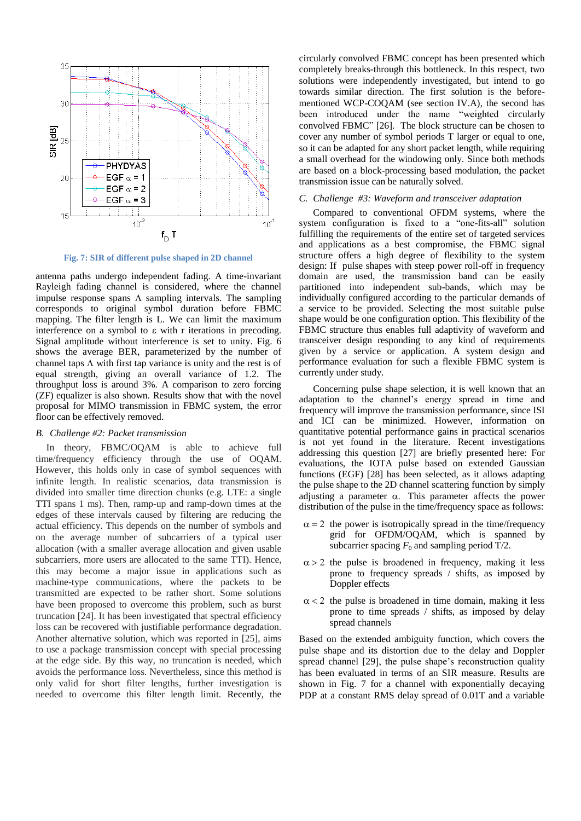

**Fig. 7: SIR of different pulse shaped in 2D channel**

antenna paths undergo independent fading. A time-invariant Rayleigh fading channel is considered, where the channel impulse response spans  $\Lambda$  sampling intervals. The sampling corresponds to original symbol duration before FBMC mapping. The filter length is L. We can limit the maximum interference on a symbol to  $\varepsilon$  with r iterations in precoding. Signal amplitude without interference is set to unity. Fig. 6 shows the average BER, parameterized by the number of channel taps  $\Lambda$  with first tap variance is unity and the rest is of equal strength, giving an overall variance of 1.2. The throughput loss is around 3%. A comparison to zero forcing (ZF) equalizer is also shown. Results show that with the novel proposal for MIMO transmission in FBMC system, the error floor can be effectively removed.

#### *B. Challenge #2: Packet transmission*

In theory, FBMC/OQAM is able to achieve full time/frequency efficiency through the use of OQAM. However, this holds only in case of symbol sequences with infinite length. In realistic scenarios, data transmission is divided into smaller time direction chunks (e.g. LTE: a single TTI spans 1 ms). Then, ramp-up and ramp-down times at the edges of these intervals caused by filtering are reducing the actual efficiency. This depends on the number of symbols and on the average number of subcarriers of a typical user allocation (with a smaller average allocation and given usable subcarriers, more users are allocated to the same TTI). Hence, this may become a major issue in applications such as machine-type communications, where the packets to be transmitted are expected to be rather short. Some solutions have been proposed to overcome this problem, such as burst truncation [24]. It has been investigated that spectral efficiency loss can be recovered with justifiable performance degradation. Another alternative solution, which was reported in [25], aims to use a package transmission concept with special processing at the edge side. By this way, no truncation is needed, which avoids the performance loss. Nevertheless, since this method is only valid for short filter lengths, further investigation is needed to overcome this filter length limit. Recently, the circularly convolved FBMC concept has been presented which completely breaks-through this bottleneck. In this respect, two solutions were independently investigated, but intend to go towards similar direction. The first solution is the beforementioned WCP-COQAM (see section IV.A), the second has been introduced under the name "weighted circularly convolved FBMC" [26]. The block structure can be chosen to cover any number of symbol periods T larger or equal to one, so it can be adapted for any short packet length, while requiring a small overhead for the windowing only. Since both methods are based on a block-processing based modulation, the packet transmission issue can be naturally solved.

## *C. Challenge #3: Waveform and transceiver adaptation*

Compared to conventional OFDM systems, where the system configuration is fixed to a "one-fits-all" solution fulfilling the requirements of the entire set of targeted services and applications as a best compromise, the FBMC signal structure offers a high degree of flexibility to the system design: If pulse shapes with steep power roll-off in frequency domain are used, the transmission band can be easily partitioned into independent sub-bands, which may be individually configured according to the particular demands of a service to be provided. Selecting the most suitable pulse shape would be one configuration option. This flexibility of the FBMC structure thus enables full adaptivity of waveform and transceiver design responding to any kind of requirements given by a service or application. A system design and performance evaluation for such a flexible FBMC system is currently under study.

Concerning pulse shape selection, it is well known that an adaptation to the channel"s energy spread in time and frequency will improve the transmission performance, since ISI and ICI can be minimized. However, information on quantitative potential performance gains in practical scenarios is not yet found in the literature. Recent investigations addressing this question [27] are briefly presented here: For evaluations, the IOTA pulse based on extended Gaussian functions (EGF) [28] has been selected, as it allows adapting the pulse shape to the 2D channel scattering function by simply adjusting a parameter  $\alpha$ . This parameter affects the power distribution of the pulse in the time/frequency space as follows:

- $\alpha = 2$  the power is isotropically spread in the time/frequency grid for OFDM/OQAM, which is spanned by subcarrier spacing  $F_0$  and sampling period T/2.
- $\alpha$  > 2 the pulse is broadened in frequency, making it less prone to frequency spreads / shifts, as imposed by Doppler effects
- $\alpha$  < 2 the pulse is broadened in time domain, making it less prone to time spreads / shifts, as imposed by delay spread channels

Based on the extended ambiguity function, which covers the pulse shape and its distortion due to the delay and Doppler spread channel [29], the pulse shape's reconstruction quality has been evaluated in terms of an SIR measure. Results are shown in Fig. 7 for a channel with exponentially decaying PDP at a constant RMS delay spread of 0.01T and a variable